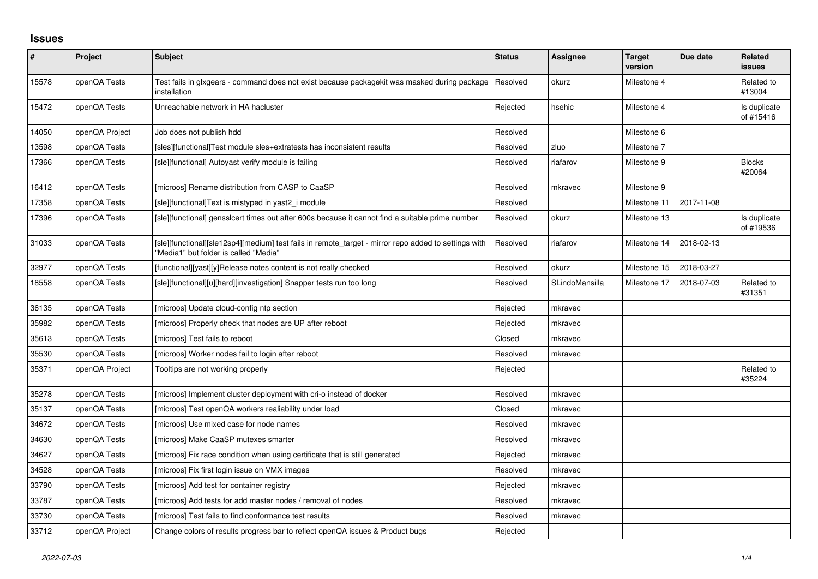## **Issues**

| $\sharp$ | Project        | Subject                                                                                                                                       | <b>Status</b> | <b>Assignee</b> | <b>Target</b><br>version | Due date   | <b>Related</b><br>issues  |
|----------|----------------|-----------------------------------------------------------------------------------------------------------------------------------------------|---------------|-----------------|--------------------------|------------|---------------------------|
| 15578    | openQA Tests   | Test fails in glxgears - command does not exist because packagekit was masked during package<br>installation                                  | Resolved      | okurz           | Milestone 4              |            | Related to<br>#13004      |
| 15472    | openQA Tests   | Unreachable network in HA hacluster                                                                                                           | Rejected      | hsehic          | Milestone 4              |            | Is duplicate<br>of #15416 |
| 14050    | openQA Project | Job does not publish hdd                                                                                                                      | Resolved      |                 | Milestone 6              |            |                           |
| 13598    | openQA Tests   | [sles][functional]Test module sles+extratests has inconsistent results                                                                        | Resolved      | zluo            | Milestone 7              |            |                           |
| 17366    | openQA Tests   | [sle][functional] Autoyast verify module is failing                                                                                           | Resolved      | riafarov        | Milestone 9              |            | <b>Blocks</b><br>#20064   |
| 16412    | openQA Tests   | [microos] Rename distribution from CASP to CaaSP                                                                                              | Resolved      | mkravec         | Milestone 9              |            |                           |
| 17358    | openQA Tests   | [sle][functional]Text is mistyped in yast2 i module                                                                                           | Resolved      |                 | Milestone 11             | 2017-11-08 |                           |
| 17396    | openQA Tests   | [sle][functional] gensslcert times out after 600s because it cannot find a suitable prime number                                              | Resolved      | okurz           | Milestone 13             |            | Is duplicate<br>of #19536 |
| 31033    | openQA Tests   | [sle][functional][sle12sp4][medium] test fails in remote_target - mirror repo added to settings with<br>"Media1" but folder is called "Media" | Resolved      | riafarov        | Milestone 14             | 2018-02-13 |                           |
| 32977    | openQA Tests   | [functional][yast][y]Release notes content is not really checked                                                                              | Resolved      | okurz           | Milestone 15             | 2018-03-27 |                           |
| 18558    | openQA Tests   | [sle][functional][u][hard][investigation] Snapper tests run too long                                                                          | Resolved      | SLindoMansilla  | Milestone 17             | 2018-07-03 | Related to<br>#31351      |
| 36135    | openQA Tests   | [microos] Update cloud-config ntp section                                                                                                     | Rejected      | mkravec         |                          |            |                           |
| 35982    | openQA Tests   | [microos] Properly check that nodes are UP after reboot                                                                                       | Rejected      | mkravec         |                          |            |                           |
| 35613    | openQA Tests   | [microos] Test fails to reboot                                                                                                                | Closed        | mkravec         |                          |            |                           |
| 35530    | openQA Tests   | [microos] Worker nodes fail to login after reboot                                                                                             | Resolved      | mkravec         |                          |            |                           |
| 35371    | openQA Project | Tooltips are not working properly                                                                                                             | Rejected      |                 |                          |            | Related to<br>#35224      |
| 35278    | openQA Tests   | [microos] Implement cluster deployment with cri-o instead of docker                                                                           | Resolved      | mkravec         |                          |            |                           |
| 35137    | openQA Tests   | [microos] Test openQA workers realiability under load                                                                                         | Closed        | mkravec         |                          |            |                           |
| 34672    | openQA Tests   | [microos] Use mixed case for node names                                                                                                       | Resolved      | mkravec         |                          |            |                           |
| 34630    | openQA Tests   | [microos] Make CaaSP mutexes smarter                                                                                                          | Resolved      | mkravec         |                          |            |                           |
| 34627    | openQA Tests   | [microos] Fix race condition when using certificate that is still generated                                                                   | Rejected      | mkravec         |                          |            |                           |
| 34528    | openQA Tests   | [microos] Fix first login issue on VMX images                                                                                                 | Resolved      | mkravec         |                          |            |                           |
| 33790    | openQA Tests   | [microos] Add test for container registry                                                                                                     | Rejected      | mkravec         |                          |            |                           |
| 33787    | openQA Tests   | [microos] Add tests for add master nodes / removal of nodes                                                                                   | Resolved      | mkravec         |                          |            |                           |
| 33730    | openQA Tests   | [microos] Test fails to find conformance test results                                                                                         | Resolved      | mkravec         |                          |            |                           |
| 33712    | openQA Project | Change colors of results progress bar to reflect openQA issues & Product bugs                                                                 | Rejected      |                 |                          |            |                           |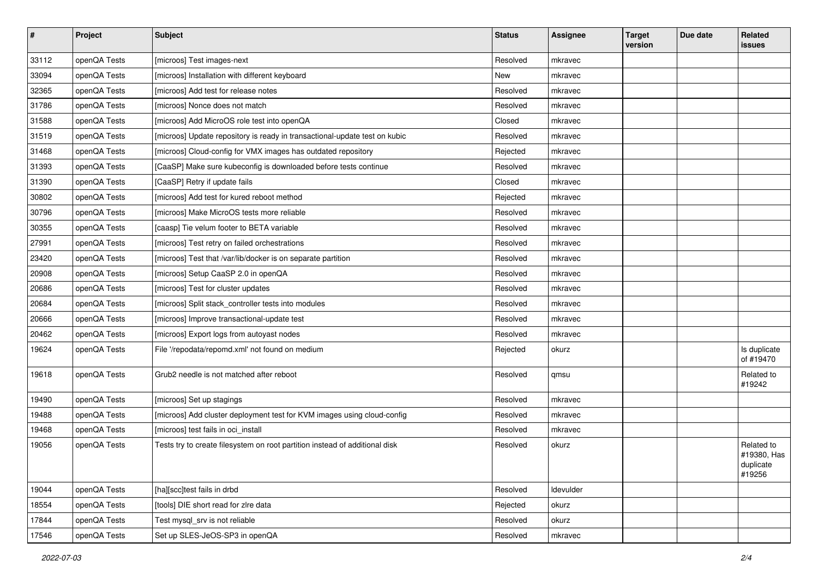| $\sharp$ | Project      | <b>Subject</b>                                                              | <b>Status</b> | <b>Assignee</b> | <b>Target</b><br>version | Due date | Related<br><b>issues</b>                         |
|----------|--------------|-----------------------------------------------------------------------------|---------------|-----------------|--------------------------|----------|--------------------------------------------------|
| 33112    | openQA Tests | [microos] Test images-next                                                  | Resolved      | mkravec         |                          |          |                                                  |
| 33094    | openQA Tests | [microos] Installation with different keyboard                              | New           | mkravec         |                          |          |                                                  |
| 32365    | openQA Tests | [microos] Add test for release notes                                        | Resolved      | mkravec         |                          |          |                                                  |
| 31786    | openQA Tests | [microos] Nonce does not match                                              | Resolved      | mkravec         |                          |          |                                                  |
| 31588    | openQA Tests | [microos] Add MicroOS role test into openQA                                 | Closed        | mkravec         |                          |          |                                                  |
| 31519    | openQA Tests | [microos] Update repository is ready in transactional-update test on kubic  | Resolved      | mkravec         |                          |          |                                                  |
| 31468    | openQA Tests | [microos] Cloud-config for VMX images has outdated repository               | Rejected      | mkravec         |                          |          |                                                  |
| 31393    | openQA Tests | [CaaSP] Make sure kubeconfig is downloaded before tests continue            | Resolved      | mkravec         |                          |          |                                                  |
| 31390    | openQA Tests | [CaaSP] Retry if update fails                                               | Closed        | mkravec         |                          |          |                                                  |
| 30802    | openQA Tests | [microos] Add test for kured reboot method                                  | Rejected      | mkravec         |                          |          |                                                  |
| 30796    | openQA Tests | [microos] Make MicroOS tests more reliable                                  | Resolved      | mkravec         |                          |          |                                                  |
| 30355    | openQA Tests | [caasp] Tie velum footer to BETA variable                                   | Resolved      | mkravec         |                          |          |                                                  |
| 27991    | openQA Tests | [microos] Test retry on failed orchestrations                               | Resolved      | mkravec         |                          |          |                                                  |
| 23420    | openQA Tests | [microos] Test that /var/lib/docker is on separate partition                | Resolved      | mkravec         |                          |          |                                                  |
| 20908    | openQA Tests | [microos] Setup CaaSP 2.0 in openQA                                         | Resolved      | mkravec         |                          |          |                                                  |
| 20686    | openQA Tests | [microos] Test for cluster updates                                          | Resolved      | mkravec         |                          |          |                                                  |
| 20684    | openQA Tests | [microos] Split stack_controller tests into modules                         | Resolved      | mkravec         |                          |          |                                                  |
| 20666    | openQA Tests | [microos] Improve transactional-update test                                 | Resolved      | mkravec         |                          |          |                                                  |
| 20462    | openQA Tests | [microos] Export logs from autoyast nodes                                   | Resolved      | mkravec         |                          |          |                                                  |
| 19624    | openQA Tests | File '/repodata/repomd.xml' not found on medium                             | Rejected      | okurz           |                          |          | Is duplicate<br>of #19470                        |
| 19618    | openQA Tests | Grub <sub>2</sub> needle is not matched after reboot                        | Resolved      | qmsu            |                          |          | Related to<br>#19242                             |
| 19490    | openQA Tests | [microos] Set up stagings                                                   | Resolved      | mkravec         |                          |          |                                                  |
| 19488    | openQA Tests | [microos] Add cluster deployment test for KVM images using cloud-config     | Resolved      | mkravec         |                          |          |                                                  |
| 19468    | openQA Tests | [microos] test fails in oci_install                                         | Resolved      | mkravec         |                          |          |                                                  |
| 19056    | openQA Tests | Tests try to create filesystem on root partition instead of additional disk | Resolved      | okurz           |                          |          | Related to<br>#19380, Has<br>duplicate<br>#19256 |
| 19044    | openQA Tests | [ha][scc]test fails in drbd                                                 | Resolved      | Idevulder       |                          |          |                                                  |
| 18554    | openQA Tests | [tools] DIE short read for zire data                                        | Rejected      | okurz           |                          |          |                                                  |
| 17844    | openQA Tests | Test mysql_srv is not reliable                                              | Resolved      | okurz           |                          |          |                                                  |
| 17546    | openQA Tests | Set up SLES-JeOS-SP3 in openQA                                              | Resolved      | mkravec         |                          |          |                                                  |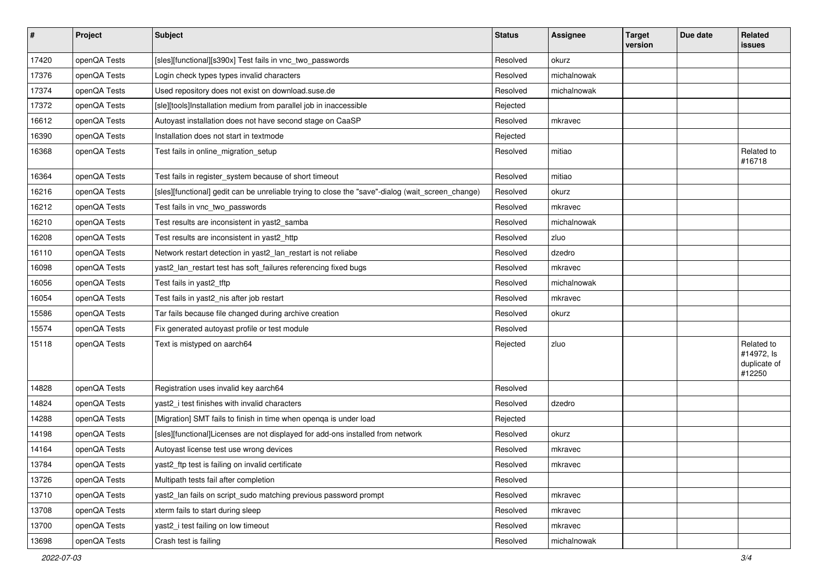| $\vert$ # | Project      | <b>Subject</b>                                                                                    | <b>Status</b> | <b>Assignee</b> | <b>Target</b><br>version | Due date | Related<br>issues                                  |
|-----------|--------------|---------------------------------------------------------------------------------------------------|---------------|-----------------|--------------------------|----------|----------------------------------------------------|
| 17420     | openQA Tests | [sles][functional][s390x] Test fails in vnc_two_passwords                                         | Resolved      | okurz           |                          |          |                                                    |
| 17376     | openQA Tests | Login check types types invalid characters                                                        | Resolved      | michalnowak     |                          |          |                                                    |
| 17374     | openQA Tests | Used repository does not exist on download.suse.de                                                | Resolved      | michalnowak     |                          |          |                                                    |
| 17372     | openQA Tests | [sle][tools]Installation medium from parallel job in inaccessible                                 | Rejected      |                 |                          |          |                                                    |
| 16612     | openQA Tests | Autoyast installation does not have second stage on CaaSP                                         | Resolved      | mkravec         |                          |          |                                                    |
| 16390     | openQA Tests | Installation does not start in textmode                                                           | Rejected      |                 |                          |          |                                                    |
| 16368     | openQA Tests | Test fails in online_migration_setup                                                              | Resolved      | mitiao          |                          |          | Related to<br>#16718                               |
| 16364     | openQA Tests | Test fails in register_system because of short timeout                                            | Resolved      | mitiao          |                          |          |                                                    |
| 16216     | openQA Tests | [sles][functional] gedit can be unreliable trying to close the "save"-dialog (wait_screen_change) | Resolved      | okurz           |                          |          |                                                    |
| 16212     | openQA Tests | Test fails in vnc_two_passwords                                                                   | Resolved      | mkravec         |                          |          |                                                    |
| 16210     | openQA Tests | Test results are inconsistent in yast2_samba                                                      | Resolved      | michalnowak     |                          |          |                                                    |
| 16208     | openQA Tests | Test results are inconsistent in yast2_http                                                       | Resolved      | zluo            |                          |          |                                                    |
| 16110     | openQA Tests | Network restart detection in yast2_lan_restart is not reliabe                                     | Resolved      | dzedro          |                          |          |                                                    |
| 16098     | openQA Tests | yast2_lan_restart test has soft_failures referencing fixed bugs                                   | Resolved      | mkravec         |                          |          |                                                    |
| 16056     | openQA Tests | Test fails in yast2_tftp                                                                          | Resolved      | michalnowak     |                          |          |                                                    |
| 16054     | openQA Tests | Test fails in yast2_nis after job restart                                                         | Resolved      | mkravec         |                          |          |                                                    |
| 15586     | openQA Tests | Tar fails because file changed during archive creation                                            | Resolved      | okurz           |                          |          |                                                    |
| 15574     | openQA Tests | Fix generated autoyast profile or test module                                                     | Resolved      |                 |                          |          |                                                    |
| 15118     | openQA Tests | Text is mistyped on aarch64                                                                       | Rejected      | zluo            |                          |          | Related to<br>#14972, ls<br>duplicate of<br>#12250 |
| 14828     | openQA Tests | Registration uses invalid key aarch64                                                             | Resolved      |                 |                          |          |                                                    |
| 14824     | openQA Tests | yast2_i test finishes with invalid characters                                                     | Resolved      | dzedro          |                          |          |                                                    |
| 14288     | openQA Tests | [Migration] SMT fails to finish in time when openga is under load                                 | Rejected      |                 |                          |          |                                                    |
| 14198     | openQA Tests | [sles][functional]Licenses are not displayed for add-ons installed from network                   | Resolved      | okurz           |                          |          |                                                    |
| 14164     | openQA Tests | Autoyast license test use wrong devices                                                           | Resolved      | mkravec         |                          |          |                                                    |
| 13784     | openQA Tests | yast2_ftp test is failing on invalid certificate                                                  | Resolved      | mkravec         |                          |          |                                                    |
| 13726     | openQA Tests | Multipath tests fail after completion                                                             | Resolved      |                 |                          |          |                                                    |
| 13710     | openQA Tests | yast2_lan fails on script_sudo matching previous password prompt                                  | Resolved      | mkravec         |                          |          |                                                    |
| 13708     | openQA Tests | xterm fails to start during sleep                                                                 | Resolved      | mkravec         |                          |          |                                                    |
| 13700     | openQA Tests | yast2_i test failing on low timeout                                                               | Resolved      | mkravec         |                          |          |                                                    |
| 13698     | openQA Tests | Crash test is failing                                                                             | Resolved      | michalnowak     |                          |          |                                                    |